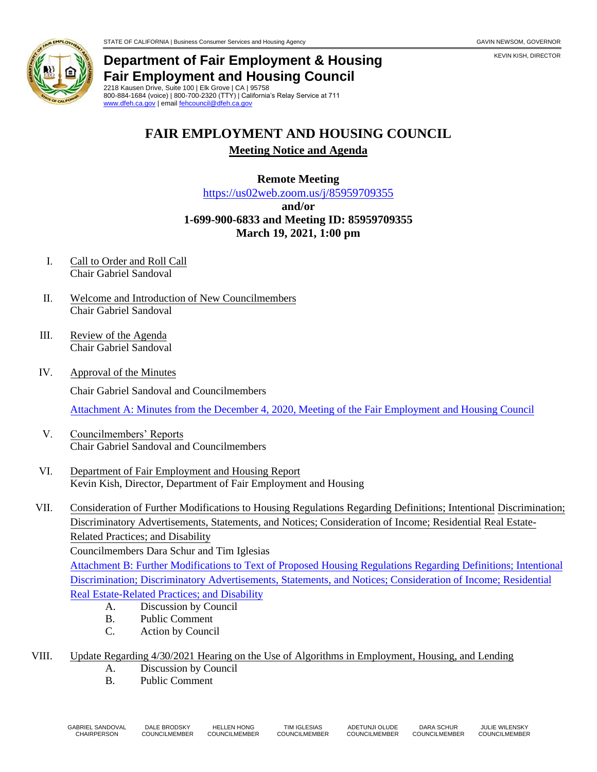#### **Department of Fair Employment & Housing Fair Employment and Housing Council** 2218 Kausen Drive, Suite 100 | Elk Grove | CA | 95758

800-884-1684 (voice) | 800-700-2320 (TTY) | California's Relay Service at 711 [www.dfeh.ca.gov](https://www.dfeh.ca.gov/) | email [fehcouncil@dfeh.ca.gov](mailto:fehcouncil@dfeh.ca.gov)

# **FAIR EMPLOYMENT AND HOUSING COUNCIL**

**Meeting Notice and Agenda**

### **Remote Meeting**

<https://us02web.zoom.us/j/85959709355>

#### **and/or**

## **1-699-900-6833 and Meeting ID: 85959709355 March 19, 2021, 1:00 pm**

- I. Call to Order and Roll Call Chair Gabriel Sandoval
- II. Welcome and Introduction of New Councilmembers Chair Gabriel Sandoval
- III. Review of the Agenda Chair Gabriel Sandoval
- IV. Approval of the Minutes

Chair Gabriel Sandoval and Councilmembers

[Attachment A: Minutes from the December 4, 2020, Meeting of the Fair Employment and Housing Council](https://www.dfeh.ca.gov/wp-content/uploads/sites/32/2021/03/Attachment-A-FEH-Council-Minutes-December-4-2020-.pdf)

- V. Councilmembers' Reports Chair Gabriel Sandoval and Councilmembers
- VI. Department of Fair Employment and Housing Report Kevin Kish, Director, Department of Fair Employment and Housing
- VII. Consideration of Further Modifications to Housing Regulations Regarding Definitions; Intentional Discrimination; Discriminatory Advertisements, Statements, and Notices; Consideration of Income; Residential Real Estate-Related Practices; and Disability Councilmembers Dara Schur and Tim Iglesias Attachment B: Further Modifications to Text of Proposed Housing Regulations Regarding Definitions; Intentional

[Discrimination; Discriminatory Advertisements, Statements, and Notices; Consideration of Income; Residential](https://www.dfeh.ca.gov/wp-content/uploads/sites/32/2021/03/Attachment-B-Further-Modifications-to-Text-of-Proposed-Housing-Regulations.pdf) Real Estate-Related Practices; and Disability

- A. Discussion by Council
- B. Public Comment
- C. Action by Council
- VIII. Update Regarding 4/30/2021 Hearing on the Use of Algorithms in Employment, Housing, and Lending
	- A. Discussion by Council
	- B. Public Comment